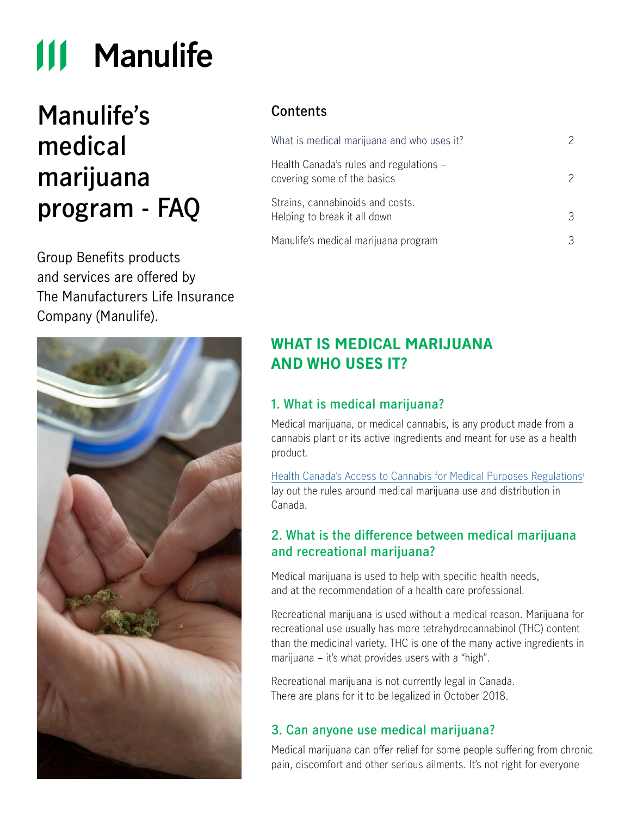# **111 Manulife**

## **Manulife's medical marijuana program - FAQ**

Group Benefits products and services are offered by The Manufacturers Life Insurance Company (Manulife).



## **Contents**

| What is medical marijuana and who uses it?                             | 2 |
|------------------------------------------------------------------------|---|
| Health Canada's rules and regulations -<br>covering some of the basics | 2 |
| Strains, cannabinoids and costs.<br>Helping to break it all down       | 3 |
| Manulife's medical marijuana program                                   | 3 |

## **WHAT IS MEDICAL MARIJUANA AND WHO USES IT?**

## **1. What is medical marijuana?**

Medical marijuana, or medical cannabis, is any product made from a cannabis plant or its active ingredients and meant for use as a health product.

[Health Canada's Access to Cannabis for Medical Purposes Regulations](https://www.canada.ca/en/health-canada/services/publications/drugs-health-products/understanding-new-access-to-cannabis-for-medical-purposes-regulations.html)i lay out the rules around medical marijuana use and distribution in Canada.

## **2. What is the difference between medical marijuana and recreational marijuana?**

Medical marijuana is used to help with specific health needs, and at the recommendation of a health care professional.

Recreational marijuana is used without a medical reason. Marijuana for recreational use usually has more tetrahydrocannabinol (THC) content than the medicinal variety. THC is one of the many active ingredients in marijuana – it's what provides users with a "high".

Recreational marijuana is not currently legal in Canada. There are plans for it to be legalized in October 2018.

## **3. Can anyone use medical marijuana?**

Medical marijuana can offer relief for some people suffering from chronic pain, discomfort and other serious ailments. It's not right for everyone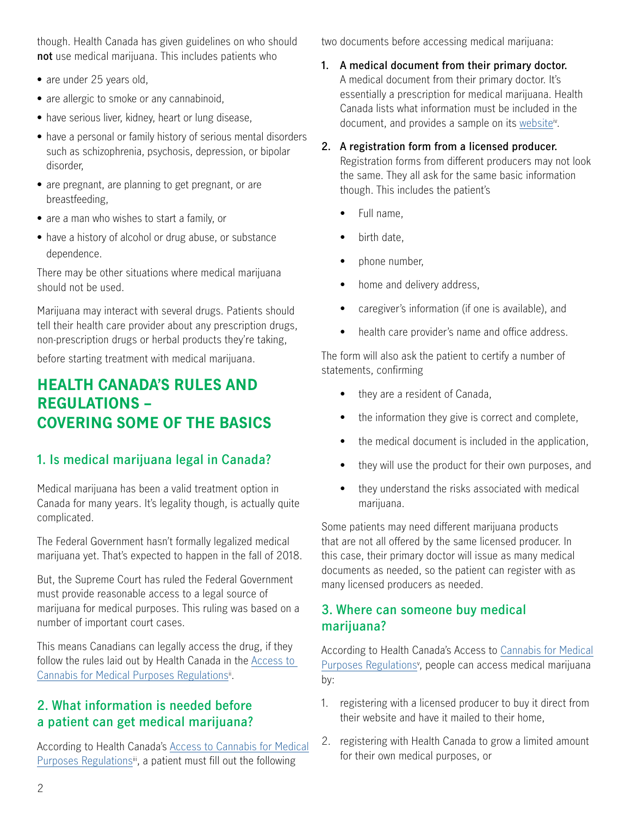<span id="page-1-0"></span>though. Health Canada has given guidelines on who should **not** use medical marijuana. This includes patients who

- **•** are under 25 years old,
- **•** are allergic to smoke or any cannabinoid,
- **•** have serious liver, kidney, heart or lung disease,
- **•** have a personal or family history of serious mental disorders such as schizophrenia, psychosis, depression, or bipolar disorder,
- **•** are pregnant, are planning to get pregnant, or are breastfeeding,
- **•** are a man who wishes to start a family, or
- **•** have a history of alcohol or drug abuse, or substance dependence.

There may be other situations where medical marijuana should not be used.

Marijuana may interact with several drugs. Patients should tell their health care provider about any prescription drugs, non-prescription drugs or herbal products they're taking,

before starting treatment with medical marijuana.

## **HEALTH CANADA'S RULES AND REGULATIONS – COVERING SOME OF THE BASICS**

## **1. Is medical marijuana legal in Canada?**

Medical marijuana has been a valid treatment option in Canada for many years. It's legality though, is actually quite complicated.

The Federal Government hasn't formally legalized medical marijuana yet. That's expected to happen in the fall of 2018.

But, the Supreme Court has ruled the Federal Government must provide reasonable access to a legal source of marijuana for medical purposes. This ruling was based on a number of important court cases.

This means Canadians can legally access the drug, if they follow the rules laid out by Health Canada in the [Access to](https://www.canada.ca/en/health-canada/services/publications/drugs-health-products/understanding-new-access-to-cannabis-for-medical-purposes-regulations.html)  Cannabis for Medical Purposes Regulations<sup>ii</sup>.

## **2. What information is needed before a patient can get medical marijuana?**

According to Health Canada's [Access to Cannabis for Medical](https://www.canada.ca/en/health-canada/services/publications/drugs-health-products/understanding-new-access-to-cannabis-for-medical-purposes-regulations.html)  [Purposes Regulationsi](https://www.canada.ca/en/health-canada/services/publications/drugs-health-products/understanding-new-access-to-cannabis-for-medical-purposes-regulations.html)i, a patient must fill out the following

two documents before accessing medical marijuana:

**1. A medical document from their primary doctor.** A medical document from their primary doctor. It's essentially a prescription for medical marijuana. Health Canada lists what information must be included in the document, and provides a sample on its website<sup>iv</sup>.

**2. A registration form from a licensed producer.**

Registration forms from different producers may not look the same. They all ask for the same basic information though. This includes the patient's

- Full name,
- birth date.
- phone number,
- home and delivery address,
- caregiver's information (if one is available), and
- health care provider's name and office address.

The form will also ask the patient to certify a number of statements, confirming

- they are a resident of Canada,
- the information they give is correct and complete,
- the medical document is included in the application,
- they will use the product for their own purposes, and
- they understand the risks associated with medical marijuana.

Some patients may need different marijuana products that are not all offered by the same licensed producer. In this case, their primary doctor will issue as many medical documents as needed, so the patient can register with as many licensed producers as needed.

## **3. Where can someone buy medical marijuana?**

According to Health Canada's Access to [Cannabis for Medical](https://www.canada.ca/en/health-canada/services/publications/drugs-health-products/understanding-new-access-to-cannabis-for-medical-purposes-regulations.html)  Purposes Regulations<sup>y</sup>, people can access medical marijuana by:

- 1. registering with a licensed producer to buy it direct from their website and have it mailed to their home,
- 2. registering with Health Canada to grow a limited amount for their own medical purposes, or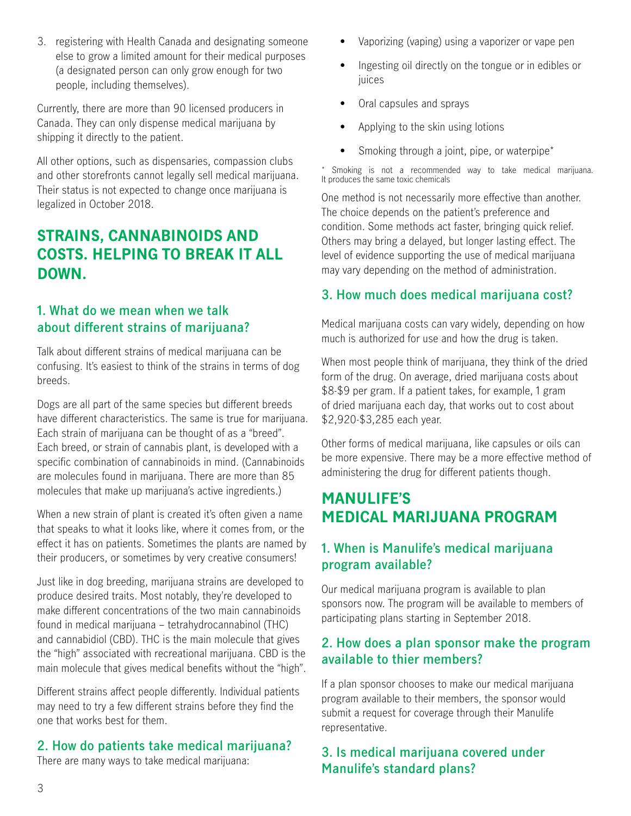<span id="page-2-0"></span>3. registering with Health Canada and designating someone else to grow a limited amount for their medical purposes (a designated person can only grow enough for two people, including themselves).

Currently, there are more than 90 licensed producers in Canada. They can only dispense medical marijuana by shipping it directly to the patient.

All other options, such as dispensaries, compassion clubs and other storefronts cannot legally sell medical marijuana. Their status is not expected to change once marijuana is legalized in October 2018.

## **STRAINS, CANNABINOIDS AND COSTS. HELPING TO BREAK IT ALL DOWN.**

## **1. What do we mean when we talk about different strains of marijuana?**

Talk about different strains of medical marijuana can be confusing. It's easiest to think of the strains in terms of dog breeds.

Dogs are all part of the same species but different breeds have different characteristics. The same is true for marijuana. Each strain of marijuana can be thought of as a "breed". Each breed, or strain of cannabis plant, is developed with a specific combination of cannabinoids in mind. (Cannabinoids are molecules found in marijuana. There are more than 85 molecules that make up marijuana's active ingredients.)

When a new strain of plant is created it's often given a name that speaks to what it looks like, where it comes from, or the effect it has on patients. Sometimes the plants are named by their producers, or sometimes by very creative consumers!

Just like in dog breeding, marijuana strains are developed to produce desired traits. Most notably, they're developed to make different concentrations of the two main cannabinoids found in medical marijuana – tetrahydrocannabinol (THC) and cannabidiol (CBD). THC is the main molecule that gives the "high" associated with recreational marijuana. CBD is the main molecule that gives medical benefits without the "high".

Different strains affect people differently. Individual patients may need to try a few different strains before they find the one that works best for them.

#### **2. How do patients take medical marijuana?**

There are many ways to take medical marijuana:

- Vaporizing (vaping) using a vaporizer or vape pen
- Ingesting oil directly on the tongue or in edibles or iuices
- Oral capsules and sprays
- Applying to the skin using lotions
- Smoking through a joint, pipe, or waterpipe<sup>\*</sup>

Smoking is not a recommended way to take medical marijuana. It produces the same toxic chemicals

One method is not necessarily more effective than another. The choice depends on the patient's preference and condition. Some methods act faster, bringing quick relief. Others may bring a delayed, but longer lasting effect. The level of evidence supporting the use of medical marijuana may vary depending on the method of administration.

## **3. How much does medical marijuana cost?**

Medical marijuana costs can vary widely, depending on how much is authorized for use and how the drug is taken.

When most people think of marijuana, they think of the dried form of the drug. On average, dried marijuana costs about \$8-\$9 per gram. If a patient takes, for example, 1 gram of dried marijuana each day, that works out to cost about \$2,920-\$3,285 each year.

Other forms of medical marijuana, like capsules or oils can be more expensive. There may be a more effective method of administering the drug for different patients though.

## **MANULIFE'S MEDICAL MARIJUANA PROGRAM**

## **1. When is Manulife's medical marijuana program available?**

Our medical marijuana program is available to plan sponsors now. The program will be available to members of participating plans starting in September 2018.

#### **2. How does a plan sponsor make the program available to thier members?**

If a plan sponsor chooses to make our medical marijuana program available to their members, the sponsor would submit a request for coverage through their Manulife representative.

#### **3. Is medical marijuana covered under Manulife's standard plans?**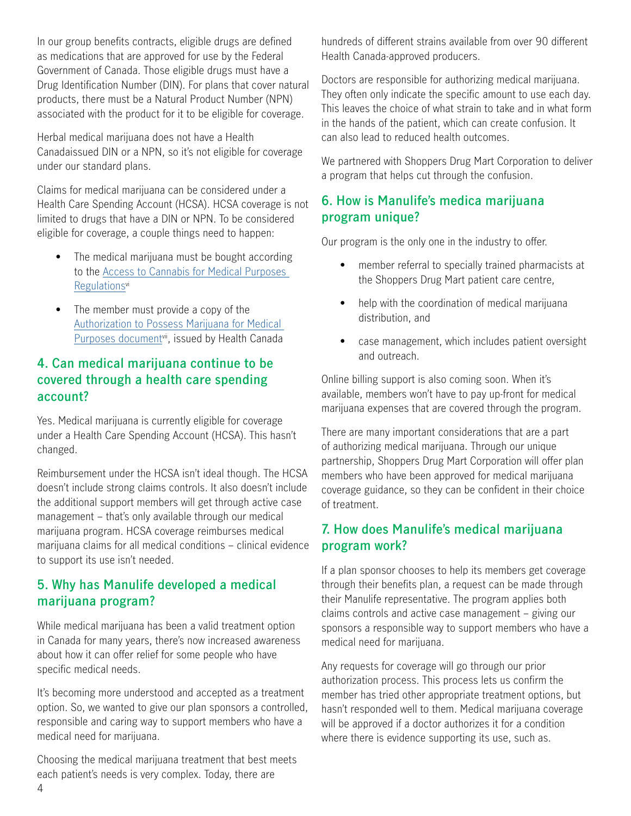<span id="page-3-0"></span>In our group benefits contracts, eligible drugs are defined as medications that are approved for use by the Federal Government of Canada. Those eligible drugs must have a Drug Identification Number (DIN). For plans that cover natural products, there must be a Natural Product Number (NPN) associated with the product for it to be eligible for coverage.

Herbal medical marijuana does not have a Health Canadaissued DIN or a NPN, so it's not eligible for coverage under our standard plans.

Claims for medical marijuana can be considered under a Health Care Spending Account (HCSA). HCSA coverage is not limited to drugs that have a DIN or NPN. To be considered eligible for coverage, a couple things need to happen:

- The medical marijuana must be bought according to the [Access to Cannabis for Medical Purposes](https://www.canada.ca/en/health-canada/services/publications/drugs-health-products/understanding-new-access-to-cannabis-for-medical-purposes-regulations.html)  [Regulationsv](https://www.canada.ca/en/health-canada/services/publications/drugs-health-products/understanding-new-access-to-cannabis-for-medical-purposes-regulations.html)i
- The member must provide a copy of the [Authorization to Possess Marijuana for Medical](https://www.canada.ca/en/health-canada/services/drugs-medication/cannabis/licensed-producers/sample-medical-document-marihuana-medical-purposes-regulations.html)  [Purposes documentv](https://www.canada.ca/en/health-canada/services/drugs-medication/cannabis/licensed-producers/sample-medical-document-marihuana-medical-purposes-regulations.html)ii, issued by Health Canada

## **4. Can medical marijuana continue to be covered through a health care spending account?**

Yes. Medical marijuana is currently eligible for coverage under a Health Care Spending Account (HCSA). This hasn't changed.

Reimbursement under the HCSA isn't ideal though. The HCSA doesn't include strong claims controls. It also doesn't include the additional support members will get through active case management – that's only available through our medical marijuana program. HCSA coverage reimburses medical marijuana claims for all medical conditions – clinical evidence to support its use isn't needed.

## **5. Why has Manulife developed a medical marijuana program?**

While medical marijuana has been a valid treatment option in Canada for many years, there's now increased awareness about how it can offer relief for some people who have specific medical needs.

It's becoming more understood and accepted as a treatment option. So, we wanted to give our plan sponsors a controlled, responsible and caring way to support members who have a medical need for marijuana.

Choosing the medical marijuana treatment that best meets each patient's needs is very complex. Today, there are

hundreds of different strains available from over 90 different Health Canada-approved producers.

Doctors are responsible for authorizing medical marijuana. They often only indicate the specific amount to use each day. This leaves the choice of what strain to take and in what form in the hands of the patient, which can create confusion. It can also lead to reduced health outcomes.

We partnered with Shoppers Drug Mart Corporation to deliver a program that helps cut through the confusion.

#### **6. How is Manulife's medica marijuana program unique?**

Our program is the only one in the industry to offer.

- member referral to specially trained pharmacists at the Shoppers Drug Mart patient care centre,
- help with the coordination of medical marijuana distribution, and
- case management, which includes patient oversight and outreach.

Online billing support is also coming soon. When it's available, members won't have to pay up-front for medical marijuana expenses that are covered through the program.

There are many important considerations that are a part of authorizing medical marijuana. Through our unique partnership, Shoppers Drug Mart Corporation will offer plan members who have been approved for medical marijuana coverage guidance, so they can be confident in their choice of treatment.

#### **7. How does Manulife's medical marijuana program work?**

If a plan sponsor chooses to help its members get coverage through their benefits plan, a request can be made through their Manulife representative. The program applies both claims controls and active case management – giving our sponsors a responsible way to support members who have a medical need for marijuana.

Any requests for coverage will go through our prior authorization process. This process lets us confirm the member has tried other appropriate treatment options, but hasn't responded well to them. Medical marijuana coverage will be approved if a doctor authorizes it for a condition where there is evidence supporting its use, such as.